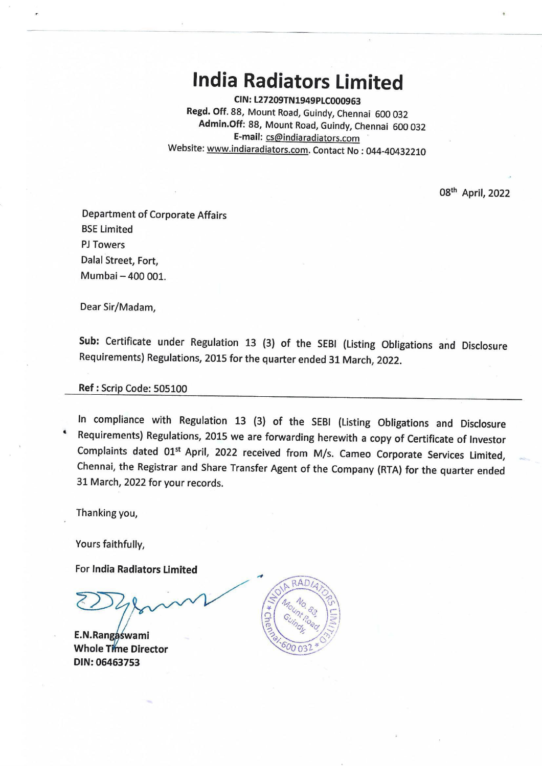# **India Radiators Limited**

**CIN:L27209TN1949PLC000963 Regd. Off.** 88, Mount Road, Guindy, Chennai 600 032 **Admin.Off:** 88, Mount Road, Guindy, Chennai 600 032 **E-mail:** cs@indiaradiators.com Website: www.indiaradiators.com. Contact No : 044-40432210

08<sup>th</sup> April, 2022

Department of Corporate Affairs BSE Limited PJ Towers Dalal Street, Fort, Mumbai- 400 001.

Dear Sir/Madam,

**Sub:** Certificate under Regulation 13 (3) of the SEBI (Listing Obligations and Disclosure Requirements) Regulations, 2015 for the quarter ended 31 March, 2022.

### **Ref:** Scrip Code: 505100

In compliance with Regulation 13 (3) of the SEBI (Listing Obligations and Disclosure • Requirements) Regulations, 2015 we are forwarding herewith a copy of Certificate of Investor Complaints dated 01<sup>st</sup> April, 2022 received from M/s. Cameo Corporate Services Limited, Chennai, the Registrar and Share Transfer Agent of the Company (RTA) for the quarter ended 31 March, 2022 for your records.

Thanking you,

Yours faithfully,

For **India Radiators Limited** 

**Whole Time Director DIN:06463753**